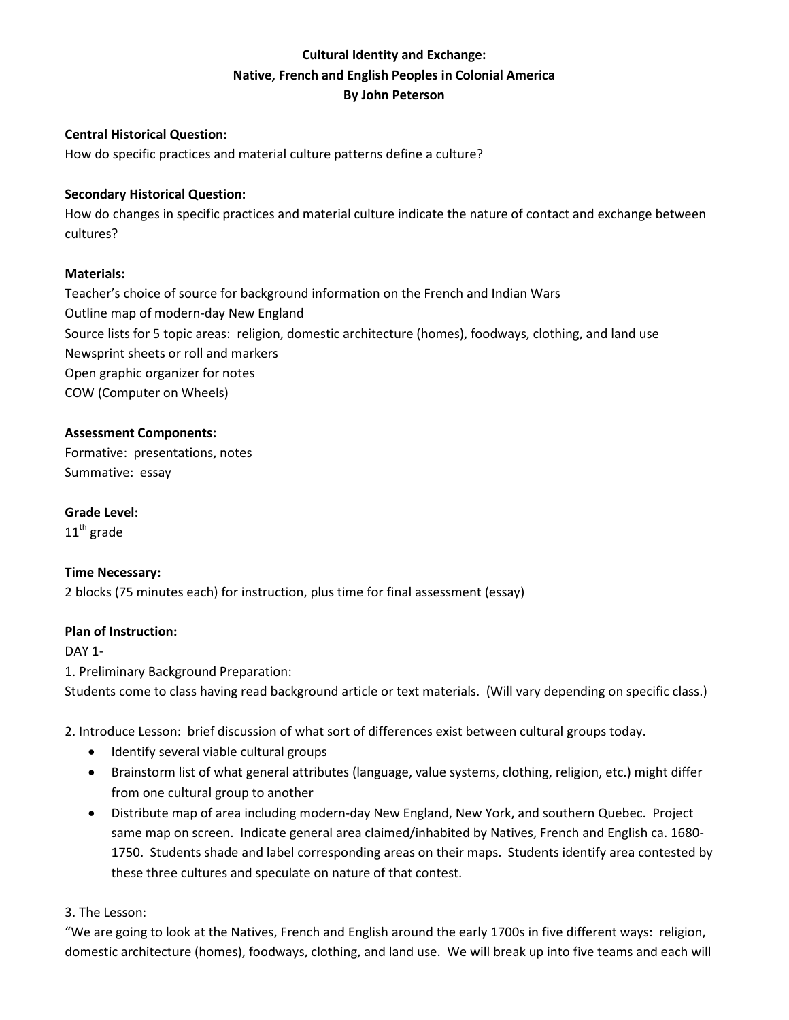# **Cultural Identity and Exchange: Native, French and English Peoples in Colonial America By John Peterson**

## **Central Historical Question:**

How do specific practices and material culture patterns define a culture?

### **Secondary Historical Question:**

How do changes in specific practices and material culture indicate the nature of contact and exchange between cultures?

### **Materials:**

Teacher's choice of source for background information on the French and Indian Wars Outline map of modern-day New England Source lists for 5 topic areas: religion, domestic architecture (homes), foodways, clothing, and land use Newsprint sheets or roll and markers Open graphic organizer for notes COW (Computer on Wheels)

### **Assessment Components:**

Formative: presentations, notes Summative: essay

**Grade Level:**

 $11<sup>th</sup>$  grade

## **Time Necessary:**

2 blocks (75 minutes each) for instruction, plus time for final assessment (essay)

## **Plan of Instruction:**

DAY 1-

1. Preliminary Background Preparation:

Students come to class having read background article or text materials. (Will vary depending on specific class.)

2. Introduce Lesson: brief discussion of what sort of differences exist between cultural groups today.

- Identify several viable cultural groups
- Brainstorm list of what general attributes (language, value systems, clothing, religion, etc.) might differ from one cultural group to another
- Distribute map of area including modern-day New England, New York, and southern Quebec. Project same map on screen. Indicate general area claimed/inhabited by Natives, French and English ca. 1680- 1750. Students shade and label corresponding areas on their maps. Students identify area contested by these three cultures and speculate on nature of that contest.

3. The Lesson:

"We are going to look at the Natives, French and English around the early 1700s in five different ways: religion, domestic architecture (homes), foodways, clothing, and land use. We will break up into five teams and each will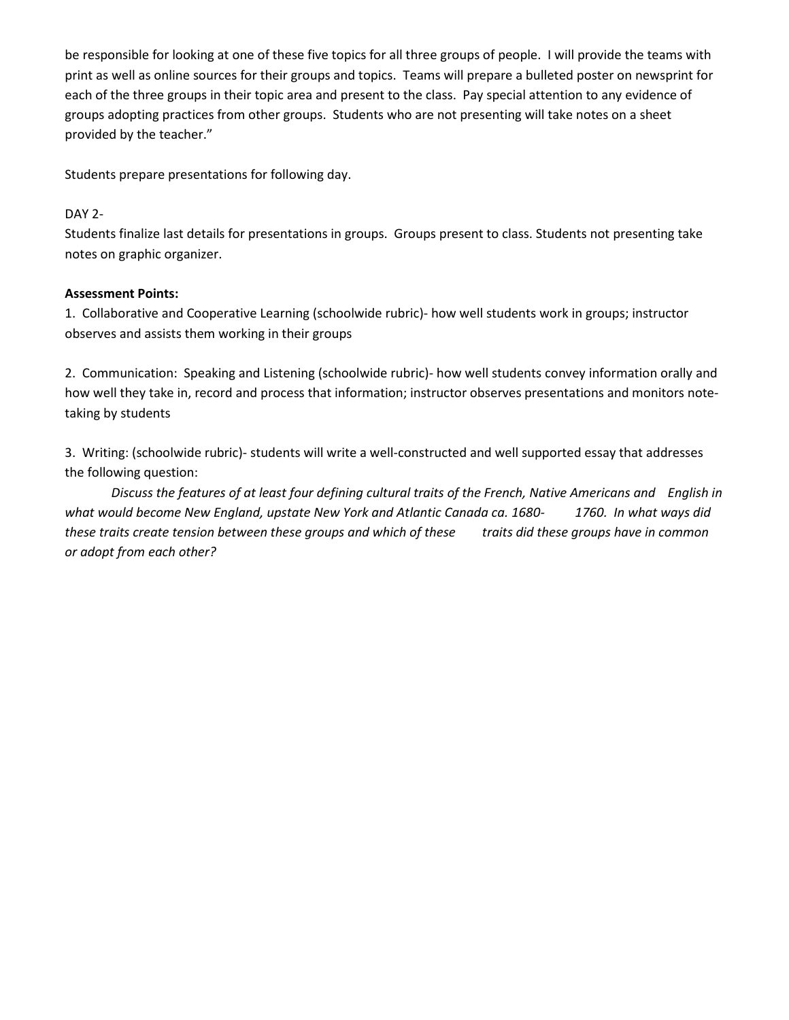be responsible for looking at one of these five topics for all three groups of people. I will provide the teams with print as well as online sources for their groups and topics. Teams will prepare a bulleted poster on newsprint for each of the three groups in their topic area and present to the class. Pay special attention to any evidence of groups adopting practices from other groups. Students who are not presenting will take notes on a sheet provided by the teacher."

Students prepare presentations for following day.

## DAY 2-

Students finalize last details for presentations in groups. Groups present to class. Students not presenting take notes on graphic organizer.

## **Assessment Points:**

1. Collaborative and Cooperative Learning (schoolwide rubric)- how well students work in groups; instructor observes and assists them working in their groups

2. Communication: Speaking and Listening (schoolwide rubric)- how well students convey information orally and how well they take in, record and process that information; instructor observes presentations and monitors notetaking by students

3. Writing: (schoolwide rubric)- students will write a well-constructed and well supported essay that addresses the following question:

*Discuss the features of at least four defining cultural traits of the French, Native Americans and English in what would become New England, upstate New York and Atlantic Canada ca. 1680- 1760. In what ways did these traits create tension between these groups and which of these traits did these groups have in common or adopt from each other?*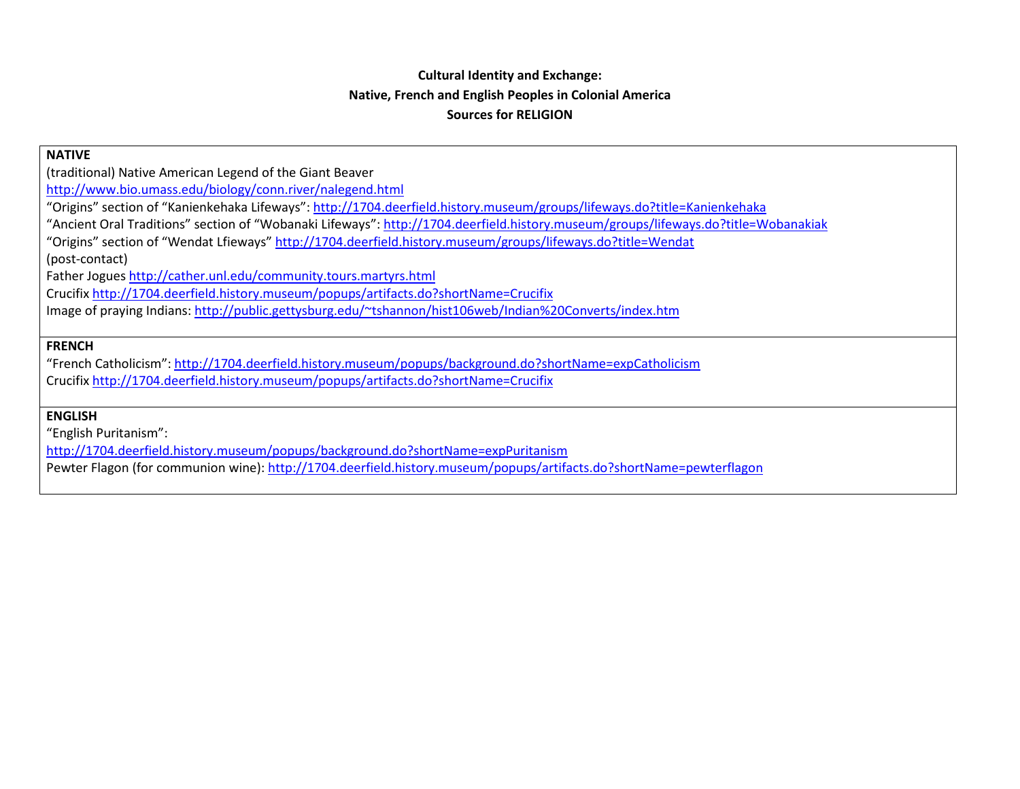## **Cultural Identity and Exchange: Native, French and English Peoples in Colonial America Sources for RELIGION**

#### **NATIVE**

(traditional) Native American Legend of the Giant Beaver

<http://www.bio.umass.edu/biology/conn.river/nalegend.html>

"Origins" section of "Kanienkehaka Lifeways":<http://1704.deerfield.history.museum/groups/lifeways.do?title=Kanienkehaka>

"Ancient Oral Traditions" section of "Wobanaki Lifeways":<http://1704.deerfield.history.museum/groups/lifeways.do?title=Wobanakiak>

"Origins" section of "Wendat Lfieways"<http://1704.deerfield.history.museum/groups/lifeways.do?title=Wendat>

(post-contact)

Father Jogues<http://cather.unl.edu/community.tours.martyrs.html>

Crucifix<http://1704.deerfield.history.museum/popups/artifacts.do?shortName=Crucifix>

Image of praying Indians:<http://public.gettysburg.edu/~tshannon/hist106web/Indian%20Converts/index.htm>

### **FRENCH**

"French Catholicism"[: http://1704.deerfield.history.museum/popups/background.do?shortName=expCatholicism](http://1704.deerfield.history.museum/popups/background.do?shortName=expCatholicism) Crucifix<http://1704.deerfield.history.museum/popups/artifacts.do?shortName=Crucifix>

### **ENGLISH**

"English Puritanism":

<http://1704.deerfield.history.museum/popups/background.do?shortName=expPuritanism>

Pewter Flagon (for communion wine):<http://1704.deerfield.history.museum/popups/artifacts.do?shortName=pewterflagon>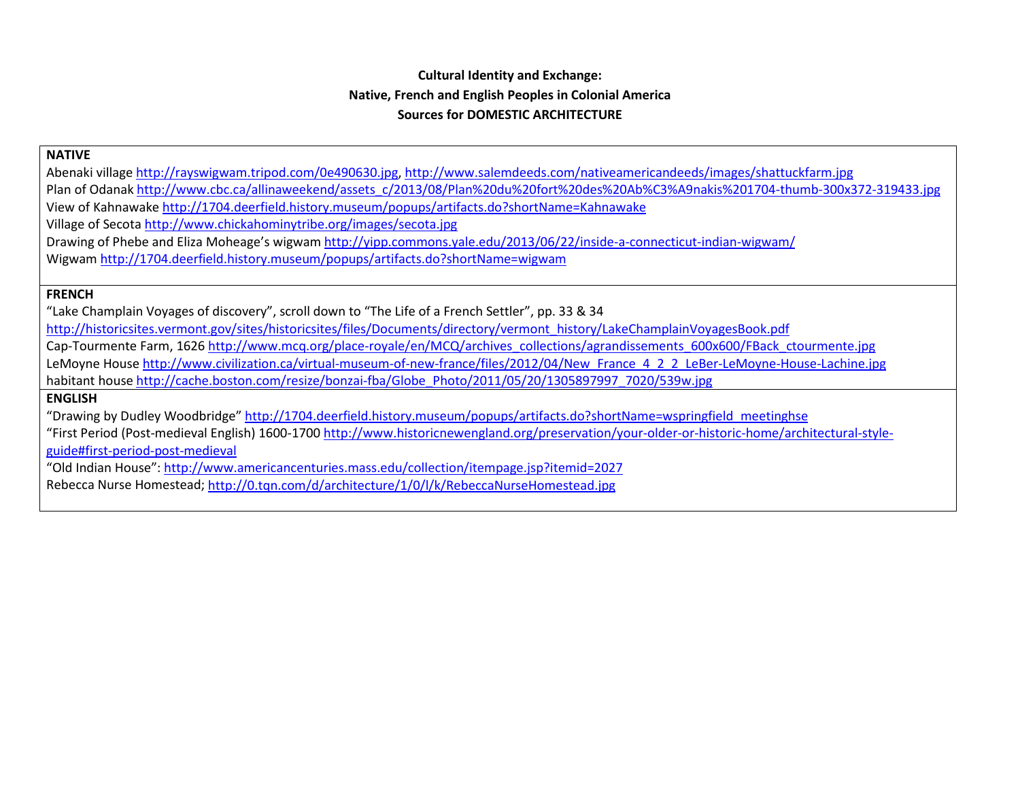# **Cultural Identity and Exchange: Native, French and English Peoples in Colonial America Sources for DOMESTIC ARCHITECTURE**

**NATIVE**

Abenaki villag[e http://rayswigwam.tripod.com/0e490630.jpg,](http://rayswigwam.tripod.com/0e490630.jpg)<http://www.salemdeeds.com/nativeamericandeeds/images/shattuckfarm.jpg> Plan of Odanak [http://www.cbc.ca/allinaweekend/assets\\_c/2013/08/Plan%20du%20fort%20des%20Ab%C3%A9nakis%201704-thumb-300x372-319433.jpg](http://www.cbc.ca/allinaweekend/assets_c/2013/08/Plan%20du%20fort%20des%20Ab%C3%A9nakis%201704-thumb-300x372-319433.jpg) View of Kahnawake<http://1704.deerfield.history.museum/popups/artifacts.do?shortName=Kahnawake> Village of Secota<http://www.chickahominytribe.org/images/secota.jpg> Drawing of Phebe and Eliza Moheage's wigwa[m http://yipp.commons.yale.edu/2013/06/22/inside-a-connecticut-indian-wigwam/](http://yipp.commons.yale.edu/2013/06/22/inside-a-connecticut-indian-wigwam/) Wigwam<http://1704.deerfield.history.museum/popups/artifacts.do?shortName=wigwam>

#### **FRENCH**

"Lake Champlain Voyages of discovery", scroll down to "The Life of a French Settler", pp. 33 & 34 [http://historicsites.vermont.gov/sites/historicsites/files/Documents/directory/vermont\\_history/LakeChamplainVoyagesBook.pdf](http://historicsites.vermont.gov/sites/historicsites/files/Documents/directory/vermont_history/LakeChamplainVoyagesBook.pdf) Cap-Tourmente Farm, 162[6 http://www.mcq.org/place-royale/en/MCQ/archives\\_collections/agrandissements\\_600x600/FBack\\_ctourmente.jpg](http://www.mcq.org/place-royale/en/MCQ/archives_collections/agrandissements_600x600/FBack_ctourmente.jpg) LeMoyne Hous[e http://www.civilization.ca/virtual-museum-of-new-france/files/2012/04/New\\_France\\_4\\_2\\_2\\_LeBer-LeMoyne-House-Lachine.jpg](http://www.civilization.ca/virtual-museum-of-new-france/files/2012/04/New_France_4_2_2_LeBer-LeMoyne-House-Lachine.jpg) habitant house [http://cache.boston.com/resize/bonzai-fba/Globe\\_Photo/2011/05/20/1305897997\\_7020/539w.jpg](http://cache.boston.com/resize/bonzai-fba/Globe_Photo/2011/05/20/1305897997_7020/539w.jpg) **ENGLISH** "Drawing by Dudley Woodbridge" [http://1704.deerfield.history.museum/popups/artifacts.do?shortName=wspringfield\\_meetinghse](http://1704.deerfield.history.museum/popups/artifacts.do?shortName=wspringfield_meetinghse) "First Period (Post-medieval English) 1600-1700 [http://www.historicnewengland.org/preservation/your-older-or-historic-home/architectural-style](http://www.historicnewengland.org/preservation/your-older-or-historic-home/architectural-style-guide#first-period-post-medieval)[guide#first-period-post-medieval](http://www.historicnewengland.org/preservation/your-older-or-historic-home/architectural-style-guide#first-period-post-medieval)

"Old Indian House":<http://www.americancenturies.mass.edu/collection/itempage.jsp?itemid=2027> Rebecca Nurse Homestead[; http://0.tqn.com/d/architecture/1/0/l/k/RebeccaNurseHomestead.jpg](http://0.tqn.com/d/architecture/1/0/l/k/RebeccaNurseHomestead.jpg)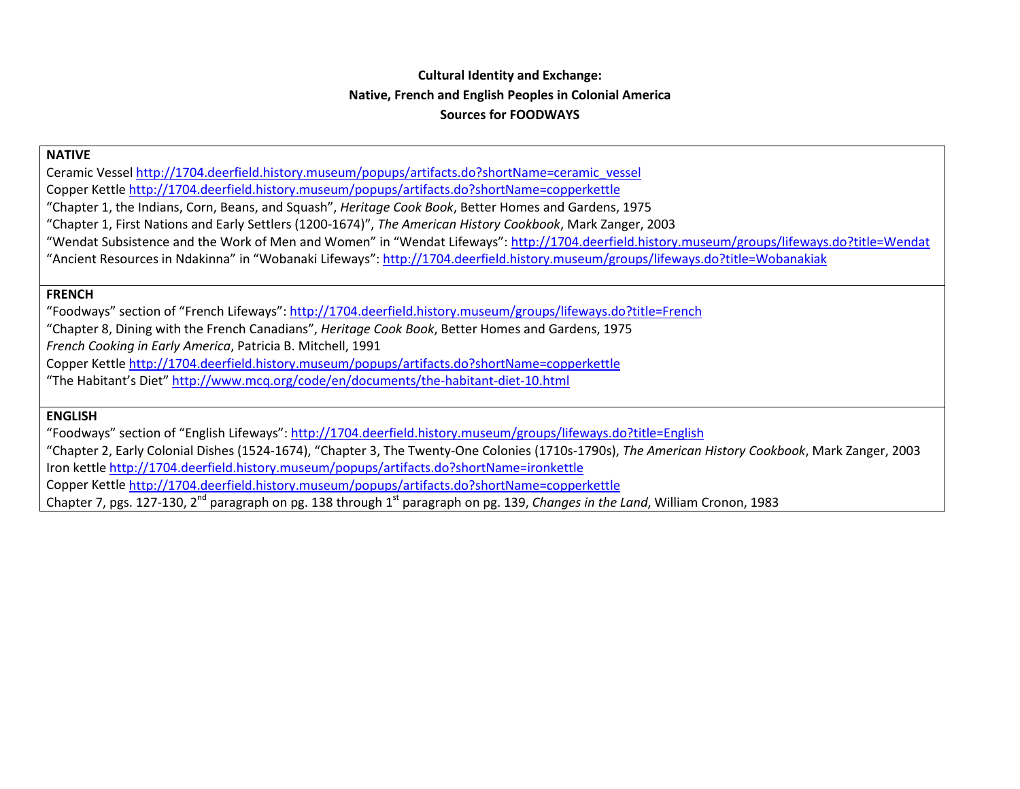# **Cultural Identity and Exchange: Native, French and English Peoples in Colonial America Sources for FOODWAYS**

### **NATIVE**

Ceramic Vesse[l http://1704.deerfield.history.museum/popups/artifacts.do?shortName=ceramic\\_vessel](http://1704.deerfield.history.museum/popups/artifacts.do?shortName=ceramic_vessel) Copper Kettle<http://1704.deerfield.history.museum/popups/artifacts.do?shortName=copperkettle>

"Chapter 1, the Indians, Corn, Beans, and Squash", *Heritage Cook Book*, Better Homes and Gardens, 1975

"Chapter 1, First Nations and Early Settlers (1200-1674)", *The American History Cookbook*, Mark Zanger, 2003

"Wendat Subsistence and the Work of Men and Women" in "Wendat Lifeways"[: http://1704.deerfield.history.museum/groups/lifeways.do?title=Wendat](http://1704.deerfield.history.museum/groups/lifeways.do?title=Wendat)

"Ancient Resources in Ndakinna" in "Wobanaki Lifeways":<http://1704.deerfield.history.museum/groups/lifeways.do?title=Wobanakiak>

### **FRENCH**

"Foodways" section of "French Lifeways":<http://1704.deerfield.history.museum/groups/lifeways.do?title=French>

"Chapter 8, Dining with the French Canadians", *Heritage Cook Book*, Better Homes and Gardens, 1975

*French Cooking in Early America*, Patricia B. Mitchell, 1991

Copper Kettle<http://1704.deerfield.history.museum/popups/artifacts.do?shortName=copperkettle>

"The Habitant's Diet[" http://www.mcq.org/code/en/documents/the-habitant-diet-10.html](http://www.mcq.org/code/en/documents/the-habitant-diet-10.html)

## **ENGLISH**

"Foodways" section of "English Lifeways":<http://1704.deerfield.history.museum/groups/lifeways.do?title=English>

"Chapter 2, Early Colonial Dishes (1524-1674), "Chapter 3, The Twenty-One Colonies (1710s-1790s), *The American History Cookbook*, Mark Zanger, 2003 Iron kettle<http://1704.deerfield.history.museum/popups/artifacts.do?shortName=ironkettle>

Copper Kettle<http://1704.deerfield.history.museum/popups/artifacts.do?shortName=copperkettle>

Chapter 7, pgs. 127-130, 2<sup>nd</sup> paragraph on pg. 138 through 1<sup>st</sup> paragraph on pg. 139, *Changes in the Land*, William Cronon, 1983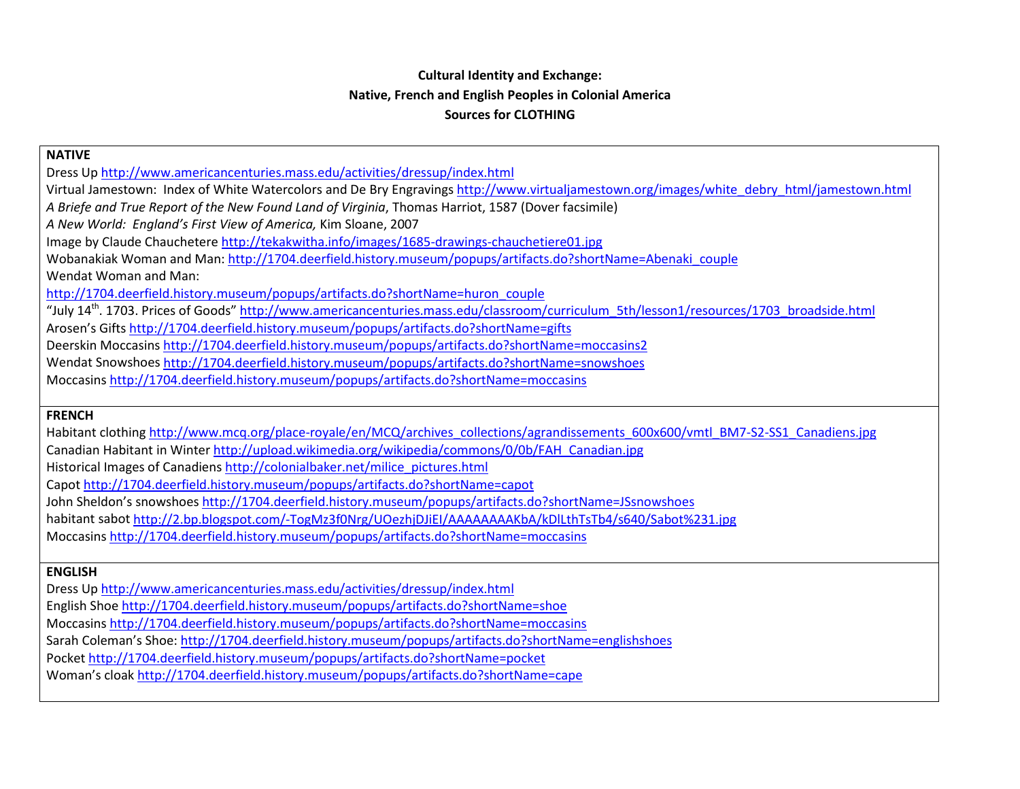## **Cultural Identity and Exchange: Native, French and English Peoples in Colonial America Sources for CLOTHING**

| <b>NATIVE</b>                                                                                                                                        |  |  |  |  |  |  |
|------------------------------------------------------------------------------------------------------------------------------------------------------|--|--|--|--|--|--|
| Dress Up http://www.americancenturies.mass.edu/activities/dressup/index.html                                                                         |  |  |  |  |  |  |
| Virtual Jamestown: Index of White Watercolors and De Bry Engravings http://www.virtualjamestown.org/images/white debry html/jamestown.html           |  |  |  |  |  |  |
| A Briefe and True Report of the New Found Land of Virginia, Thomas Harriot, 1587 (Dover facsimile)                                                   |  |  |  |  |  |  |
| A New World: England's First View of America, Kim Sloane, 2007                                                                                       |  |  |  |  |  |  |
| Image by Claude Chauchetere http://tekakwitha.info/images/1685-drawings-chauchetiere01.jpg                                                           |  |  |  |  |  |  |
| Wobanakiak Woman and Man: http://1704.deerfield.history.museum/popups/artifacts.do?shortName=Abenaki couple                                          |  |  |  |  |  |  |
| Wendat Woman and Man:                                                                                                                                |  |  |  |  |  |  |
| http://1704.deerfield.history.museum/popups/artifacts.do?shortName=huron_couple                                                                      |  |  |  |  |  |  |
| "July 14 <sup>th</sup> . 1703. Prices of Goods" http://www.americancenturies.mass.edu/classroom/curriculum_5th/lesson1/resources/1703_broadside.html |  |  |  |  |  |  |
| Arosen's Gifts http://1704.deerfield.history.museum/popups/artifacts.do?shortName=gifts                                                              |  |  |  |  |  |  |
| Deerskin Moccasins http://1704.deerfield.history.museum/popups/artifacts.do?shortName=moccasins2                                                     |  |  |  |  |  |  |
| Wendat Snowshoes http://1704.deerfield.history.museum/popups/artifacts.do?shortName=snowshoes                                                        |  |  |  |  |  |  |
| Moccasins http://1704.deerfield.history.museum/popups/artifacts.do?shortName=moccasins                                                               |  |  |  |  |  |  |
|                                                                                                                                                      |  |  |  |  |  |  |
| <b>FRENCH</b>                                                                                                                                        |  |  |  |  |  |  |
| Habitant clothing http://www.mcq.org/place-royale/en/MCQ/archives collections/agrandissements 600x600/vmtl BM7-S2-SS1 Canadiens.jpg                  |  |  |  |  |  |  |

Canadian Habitant in Winte[r http://upload.wikimedia.org/wikipedia/commons/0/0b/FAH\\_Canadian.jpg](http://upload.wikimedia.org/wikipedia/commons/0/0b/FAH_Canadian.jpg)

Historical Images of Canadiens [http://colonialbaker.net/milice\\_pictures.html](http://colonialbaker.net/milice_pictures.html)

Capot<http://1704.deerfield.history.museum/popups/artifacts.do?shortName=capot>

John Sheldon's snowshoes<http://1704.deerfield.history.museum/popups/artifacts.do?shortName=JSsnowshoes>

habitant sabo[t http://2.bp.blogspot.com/-TogMz3f0Nrg/UOezhjDJiEI/AAAAAAAAKbA/kDlLthTsTb4/s640/Sabot%231.jpg](http://2.bp.blogspot.com/-TogMz3f0Nrg/UOezhjDJiEI/AAAAAAAAKbA/kDlLthTsTb4/s640/Sabot%231.jpg)

Moccasins<http://1704.deerfield.history.museum/popups/artifacts.do?shortName=moccasins>

#### **ENGLISH**

Dress U[p http://www.americancenturies.mass.edu/activities/dressup/index.html](http://www.americancenturies.mass.edu/activities/dressup/index.html) English Sho[e http://1704.deerfield.history.museum/popups/artifacts.do?shortName=shoe](http://1704.deerfield.history.museum/popups/artifacts.do?shortName=shoe) Moccasins<http://1704.deerfield.history.museum/popups/artifacts.do?shortName=moccasins> Sarah Coleman's Shoe:<http://1704.deerfield.history.museum/popups/artifacts.do?shortName=englishshoes> Pocket<http://1704.deerfield.history.museum/popups/artifacts.do?shortName=pocket> Woman's cloa[k http://1704.deerfield.history.museum/popups/artifacts.do?shortName=cape](http://1704.deerfield.history.museum/popups/artifacts.do?shortName=cape)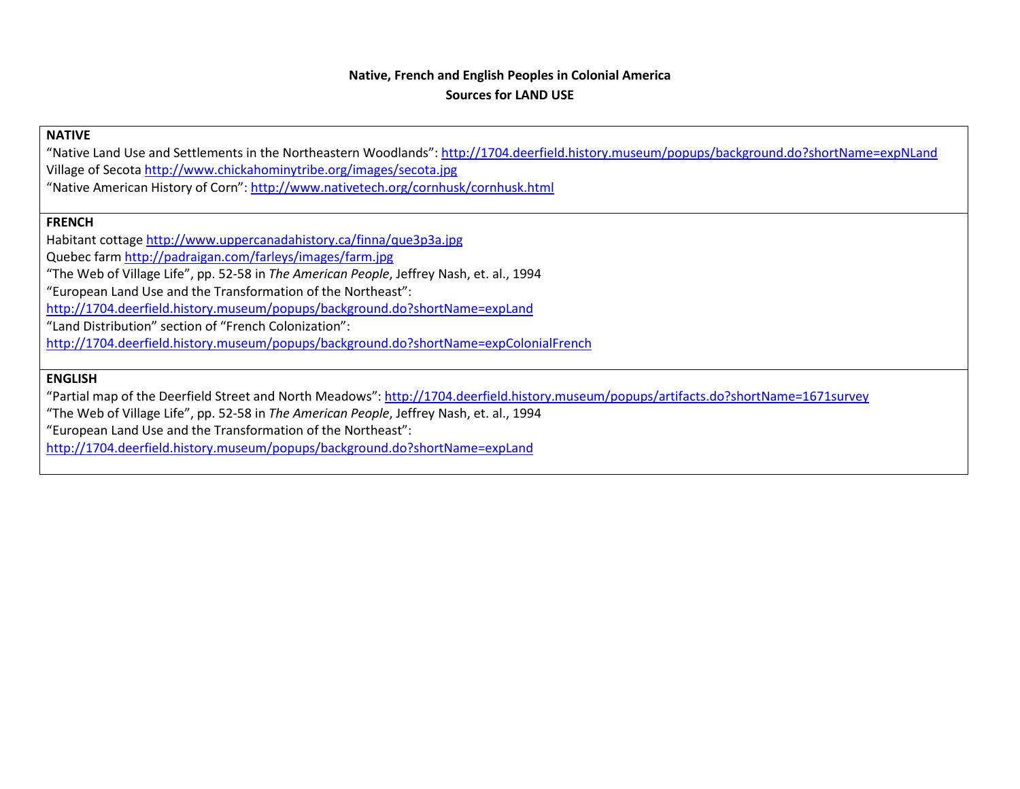## **Native, French and English Peoples in Colonial America Sources for LAND USE**

### **NATIVE**

"Native Land Use and Settlements in the Northeastern Woodlands"[: http://1704.deerfield.history.museum/popups/background.do?shortName=expNLand](http://1704.deerfield.history.museum/popups/background.do?shortName=expNLand) Village of Secota<http://www.chickahominytribe.org/images/secota.jpg>

"Native American History of Corn"[: http://www.nativetech.org/cornhusk/cornhusk.html](http://www.nativetech.org/cornhusk/cornhusk.html)

### **FRENCH**

Habitant cottag[e http://www.uppercanadahistory.ca/finna/que3p3a.jpg](http://www.uppercanadahistory.ca/finna/que3p3a.jpg) Quebec farm<http://padraigan.com/farleys/images/farm.jpg> "The Web of Village Life", pp. 52-58 in *The American People*, Jeffrey Nash, et. al., 1994 "European Land Use and the Transformation of the Northeast": <http://1704.deerfield.history.museum/popups/background.do?shortName=expLand> "Land Distribution" section of "French Colonization": <http://1704.deerfield.history.museum/popups/background.do?shortName=expColonialFrench>

### **ENGLISH**

"Partial map of the Deerfield Street and North Meadows"[: http://1704.deerfield.history.museum/popups/artifacts.do?shortName=1671survey](http://1704.deerfield.history.museum/popups/artifacts.do?shortName=1671survey)

"The Web of Village Life", pp. 52-58 in *The American People*, Jeffrey Nash, et. al., 1994

"European Land Use and the Transformation of the Northeast":

<http://1704.deerfield.history.museum/popups/background.do?shortName=expLand>